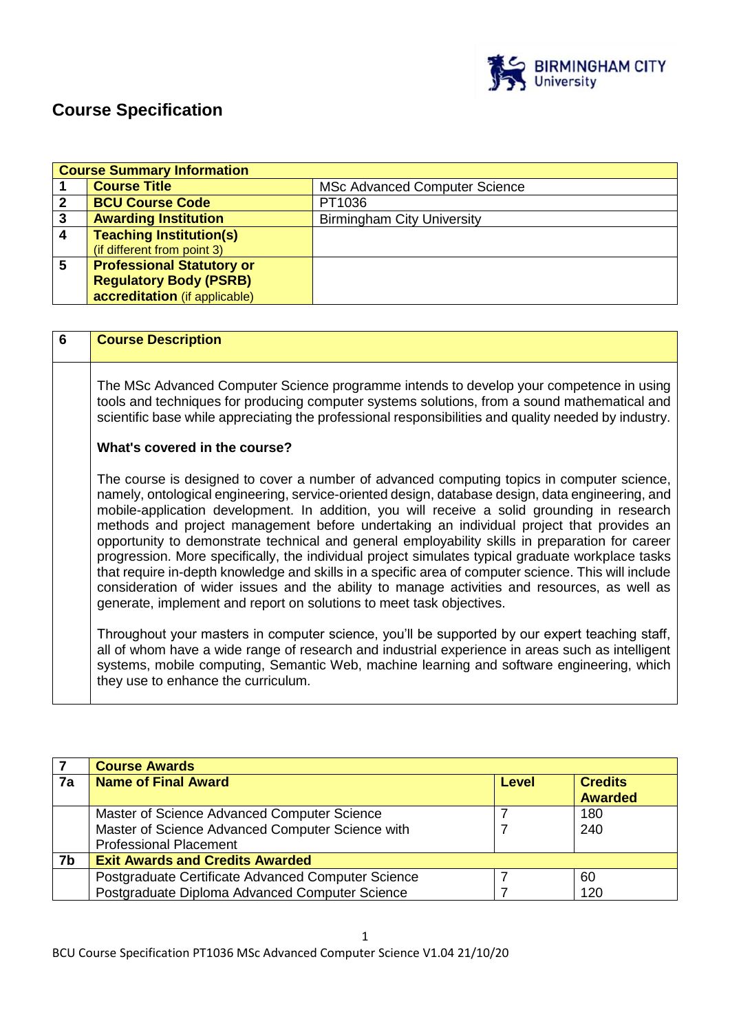

# **Course Specification**

|   | <b>Course Summary Information</b> |                                      |  |
|---|-----------------------------------|--------------------------------------|--|
|   | <b>Course Title</b>               | <b>MSc Advanced Computer Science</b> |  |
| 2 | <b>BCU Course Code</b>            | PT1036                               |  |
| 3 | <b>Awarding Institution</b>       | <b>Birmingham City University</b>    |  |
| 4 | <b>Teaching Institution(s)</b>    |                                      |  |
|   | (if different from point 3)       |                                      |  |
| 5 | <b>Professional Statutory or</b>  |                                      |  |
|   | <b>Regulatory Body (PSRB)</b>     |                                      |  |
|   | accreditation (if applicable)     |                                      |  |

| 6 | <b>Course Description</b>                                                                                                                                                                                                                                                                                                                                                                                                                                                                                                                                                                                                                                                                                                                                                                                                                                                         |
|---|-----------------------------------------------------------------------------------------------------------------------------------------------------------------------------------------------------------------------------------------------------------------------------------------------------------------------------------------------------------------------------------------------------------------------------------------------------------------------------------------------------------------------------------------------------------------------------------------------------------------------------------------------------------------------------------------------------------------------------------------------------------------------------------------------------------------------------------------------------------------------------------|
|   | The MSc Advanced Computer Science programme intends to develop your competence in using<br>tools and techniques for producing computer systems solutions, from a sound mathematical and<br>scientific base while appreciating the professional responsibilities and quality needed by industry.                                                                                                                                                                                                                                                                                                                                                                                                                                                                                                                                                                                   |
|   | What's covered in the course?                                                                                                                                                                                                                                                                                                                                                                                                                                                                                                                                                                                                                                                                                                                                                                                                                                                     |
|   | The course is designed to cover a number of advanced computing topics in computer science,<br>namely, ontological engineering, service-oriented design, database design, data engineering, and<br>mobile-application development. In addition, you will receive a solid grounding in research<br>methods and project management before undertaking an individual project that provides an<br>opportunity to demonstrate technical and general employability skills in preparation for career<br>progression. More specifically, the individual project simulates typical graduate workplace tasks<br>that require in-depth knowledge and skills in a specific area of computer science. This will include<br>consideration of wider issues and the ability to manage activities and resources, as well as<br>generate, implement and report on solutions to meet task objectives. |
|   | Throughout your masters in computer science, you'll be supported by our expert teaching staff,<br>all of whom have a wide range of research and industrial experience in areas such as intelligent<br>systems, mobile computing, Semantic Web, machine learning and software engineering, which<br>they use to enhance the curriculum.                                                                                                                                                                                                                                                                                                                                                                                                                                                                                                                                            |

|    | <b>Course Awards</b>                               |              |                |
|----|----------------------------------------------------|--------------|----------------|
| 7a | <b>Name of Final Award</b>                         | <b>Level</b> | <b>Credits</b> |
|    |                                                    |              | <b>Awarded</b> |
|    | Master of Science Advanced Computer Science        |              | 180            |
|    | Master of Science Advanced Computer Science with   |              | 240            |
|    | <b>Professional Placement</b>                      |              |                |
| 7b | <b>Exit Awards and Credits Awarded</b>             |              |                |
|    | Postgraduate Certificate Advanced Computer Science |              | 60             |
|    | Postgraduate Diploma Advanced Computer Science     |              | 120            |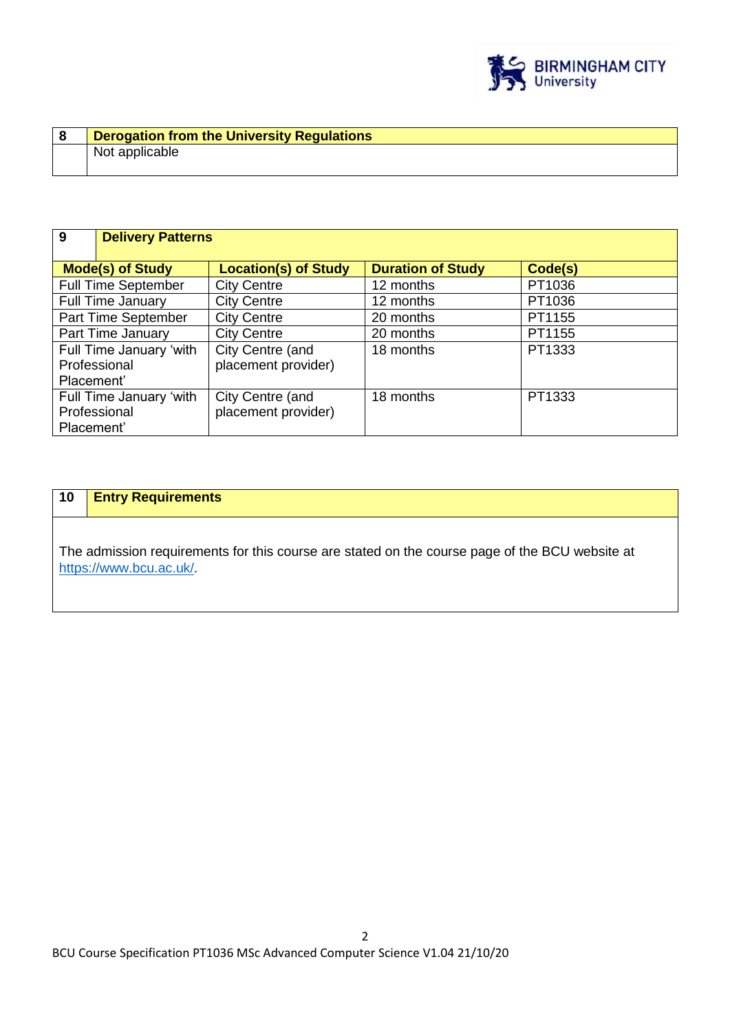

| Derogation from the University Regulations |
|--------------------------------------------|
| Not applicable                             |
|                                            |

| 9                                                     | <b>Delivery Patterns</b>                |                          |         |
|-------------------------------------------------------|-----------------------------------------|--------------------------|---------|
| <b>Mode(s) of Study</b>                               | <b>Location(s) of Study</b>             | <b>Duration of Study</b> | Code(s) |
| <b>Full Time September</b>                            | <b>City Centre</b>                      | 12 months                | PT1036  |
| <b>Full Time January</b>                              | <b>City Centre</b>                      | 12 months                | PT1036  |
| Part Time September                                   | <b>City Centre</b>                      | 20 months                | PT1155  |
| Part Time January                                     | <b>City Centre</b>                      | 20 months                | PT1155  |
| Full Time January 'with<br>Professional<br>Placement' | City Centre (and<br>placement provider) | 18 months                | PT1333  |
| Full Time January 'with<br>Professional<br>Placement' | City Centre (and<br>placement provider) | 18 months                | PT1333  |

# **10 Entry Requirements**

The admission requirements for this course are stated on the course page of the BCU website at <https://www.bcu.ac.uk/>.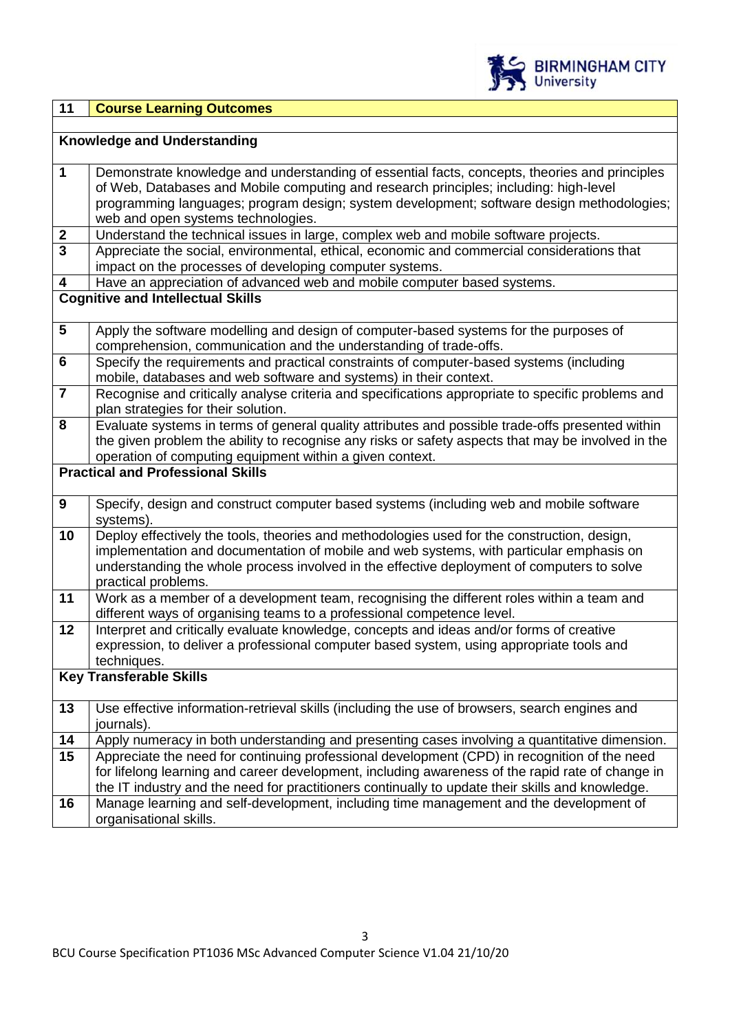

| 11<br><b>Course Learning Outcomes</b> |
|---------------------------------------|
|---------------------------------------|

|                                          | <b>Knowledge and Understanding</b>                                                                                                                                                     |  |  |  |  |
|------------------------------------------|----------------------------------------------------------------------------------------------------------------------------------------------------------------------------------------|--|--|--|--|
|                                          |                                                                                                                                                                                        |  |  |  |  |
| 1                                        | Demonstrate knowledge and understanding of essential facts, concepts, theories and principles<br>of Web, Databases and Mobile computing and research principles; including: high-level |  |  |  |  |
|                                          | programming languages; program design; system development; software design methodologies;<br>web and open systems technologies.                                                        |  |  |  |  |
| $\mathbf{2}$                             | Understand the technical issues in large, complex web and mobile software projects.                                                                                                    |  |  |  |  |
| $\overline{3}$                           | Appreciate the social, environmental, ethical, economic and commercial considerations that<br>impact on the processes of developing computer systems.                                  |  |  |  |  |
| $\overline{\mathbf{4}}$                  | Have an appreciation of advanced web and mobile computer based systems.                                                                                                                |  |  |  |  |
|                                          | <b>Cognitive and Intellectual Skills</b>                                                                                                                                               |  |  |  |  |
| $5\phantom{.0}$                          | Apply the software modelling and design of computer-based systems for the purposes of                                                                                                  |  |  |  |  |
| $6\phantom{1}$                           | comprehension, communication and the understanding of trade-offs.<br>Specify the requirements and practical constraints of computer-based systems (including                           |  |  |  |  |
|                                          | mobile, databases and web software and systems) in their context.                                                                                                                      |  |  |  |  |
| $\overline{7}$                           | Recognise and critically analyse criteria and specifications appropriate to specific problems and                                                                                      |  |  |  |  |
|                                          | plan strategies for their solution.                                                                                                                                                    |  |  |  |  |
| 8                                        | Evaluate systems in terms of general quality attributes and possible trade-offs presented within                                                                                       |  |  |  |  |
|                                          | the given problem the ability to recognise any risks or safety aspects that may be involved in the                                                                                     |  |  |  |  |
|                                          | operation of computing equipment within a given context.                                                                                                                               |  |  |  |  |
| <b>Practical and Professional Skills</b> |                                                                                                                                                                                        |  |  |  |  |
|                                          |                                                                                                                                                                                        |  |  |  |  |
| $\boldsymbol{9}$                         | Specify, design and construct computer based systems (including web and mobile software                                                                                                |  |  |  |  |
|                                          | systems).                                                                                                                                                                              |  |  |  |  |
| 10                                       | Deploy effectively the tools, theories and methodologies used for the construction, design,                                                                                            |  |  |  |  |
|                                          | implementation and documentation of mobile and web systems, with particular emphasis on                                                                                                |  |  |  |  |
|                                          | understanding the whole process involved in the effective deployment of computers to solve                                                                                             |  |  |  |  |
| 11                                       | practical problems.<br>Work as a member of a development team, recognising the different roles within a team and                                                                       |  |  |  |  |
|                                          | different ways of organising teams to a professional competence level.                                                                                                                 |  |  |  |  |
| $\mathbf{12}$                            | Interpret and critically evaluate knowledge, concepts and ideas and/or forms of creative                                                                                               |  |  |  |  |
|                                          | expression, to deliver a professional computer based system, using appropriate tools and                                                                                               |  |  |  |  |
|                                          | techniques.                                                                                                                                                                            |  |  |  |  |
|                                          | <b>Key Transferable Skills</b>                                                                                                                                                         |  |  |  |  |
|                                          |                                                                                                                                                                                        |  |  |  |  |
| 13                                       | Use effective information-retrieval skills (including the use of browsers, search engines and                                                                                          |  |  |  |  |
|                                          | journals).                                                                                                                                                                             |  |  |  |  |
| 14                                       | Apply numeracy in both understanding and presenting cases involving a quantitative dimension.                                                                                          |  |  |  |  |
| 15                                       | Appreciate the need for continuing professional development (CPD) in recognition of the need                                                                                           |  |  |  |  |
|                                          | for lifelong learning and career development, including awareness of the rapid rate of change in                                                                                       |  |  |  |  |
|                                          | the IT industry and the need for practitioners continually to update their skills and knowledge.                                                                                       |  |  |  |  |
| 16                                       | Manage learning and self-development, including time management and the development of                                                                                                 |  |  |  |  |
|                                          | organisational skills.                                                                                                                                                                 |  |  |  |  |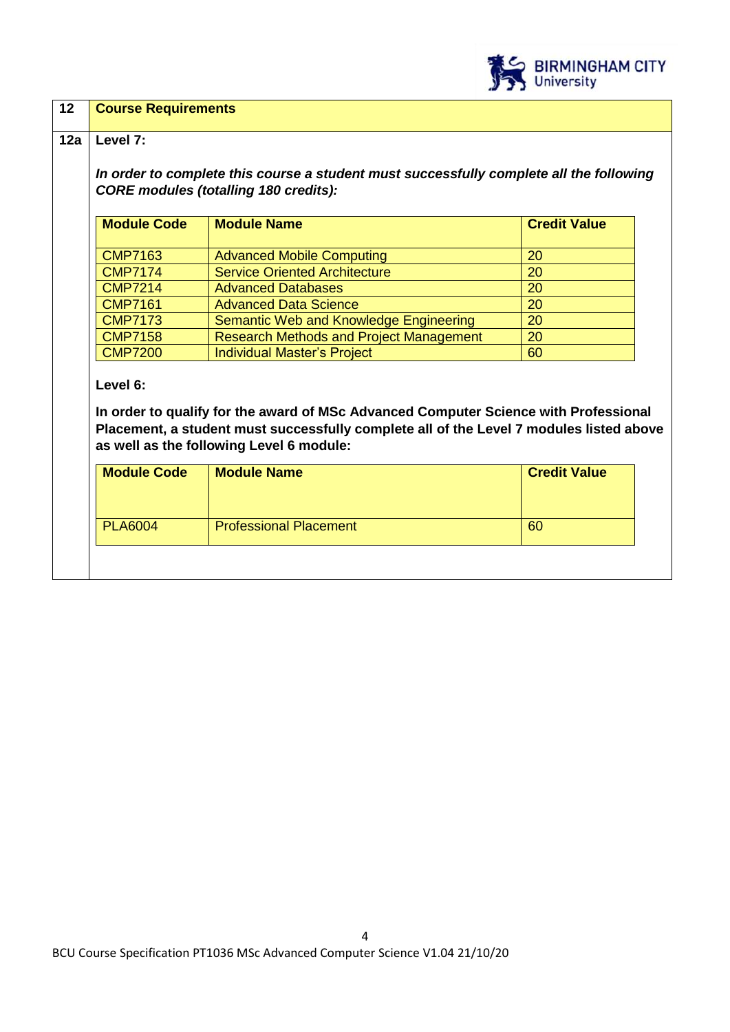

### **12 Course Requirements**

#### **12a Level 7:**

*In order to complete this course a student must successfully complete all the following CORE modules (totalling 180 credits):*

| <b>Module Code</b> | <b>Module Name</b>                             | <b>Credit Value</b> |
|--------------------|------------------------------------------------|---------------------|
|                    |                                                |                     |
| <b>CMP7163</b>     | <b>Advanced Mobile Computing</b>               | <b>20</b>           |
| <b>CMP7174</b>     | <b>Service Oriented Architecture</b>           | 20                  |
| <b>CMP7214</b>     | <b>Advanced Databases</b>                      | 20                  |
| <b>CMP7161</b>     | <b>Advanced Data Science</b>                   | <b>20</b>           |
| <b>CMP7173</b>     | Semantic Web and Knowledge Engineering         | <b>20</b>           |
| <b>CMP7158</b>     | <b>Research Methods and Project Management</b> | 20                  |
| <b>CMP7200</b>     | Individual Master's Project                    | 60                  |

**Level 6:**

**In order to qualify for the award of MSc Advanced Computer Science with Professional Placement, a student must successfully complete all of the Level 7 modules listed above as well as the following Level 6 module:**

| <b>Module Code</b> | <b>Module Name</b>            | <b>Credit Value</b> |
|--------------------|-------------------------------|---------------------|
| <b>PLA6004</b>     | <b>Professional Placement</b> | 60                  |
|                    |                               |                     |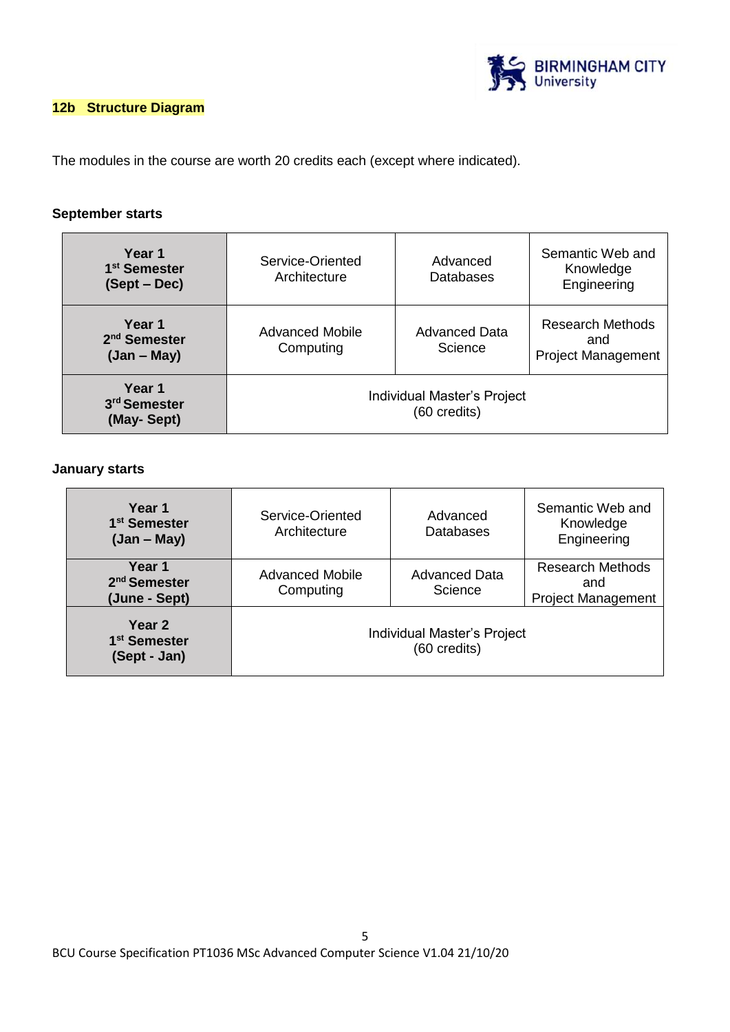

### **12b Structure Diagram**

The modules in the course are worth 20 credits each (except where indicated).

### **September starts**

| Year 1<br>1 <sup>st</sup> Semester<br>$(Sept-Dec)$  | Service-Oriented<br>Architecture            | Advanced<br><b>Databases</b>    | Semantic Web and<br>Knowledge<br>Engineering                |
|-----------------------------------------------------|---------------------------------------------|---------------------------------|-------------------------------------------------------------|
| Year 1<br>2 <sup>nd</sup> Semester<br>$(Jan - May)$ | <b>Advanced Mobile</b><br>Computing         | <b>Advanced Data</b><br>Science | <b>Research Methods</b><br>and<br><b>Project Management</b> |
| Year 1<br>3 <sup>rd</sup> Semester<br>(May-Sept)    | Individual Master's Project<br>(60 credits) |                                 |                                                             |

#### **January starts**

| Year 1<br>1 <sup>st</sup> Semester<br>$(Jan - May)$ | Service-Oriented<br>Architecture            | Advanced<br>Databases           | Semantic Web and<br>Knowledge<br>Engineering                |
|-----------------------------------------------------|---------------------------------------------|---------------------------------|-------------------------------------------------------------|
| Year 1<br>2 <sup>nd</sup> Semester<br>(June - Sept) | Advanced Mobile<br>Computing                | <b>Advanced Data</b><br>Science | <b>Research Methods</b><br>and<br><b>Project Management</b> |
| Year 2<br>1 <sup>st</sup> Semester<br>(Sept - Jan)  | Individual Master's Project<br>(60 credits) |                                 |                                                             |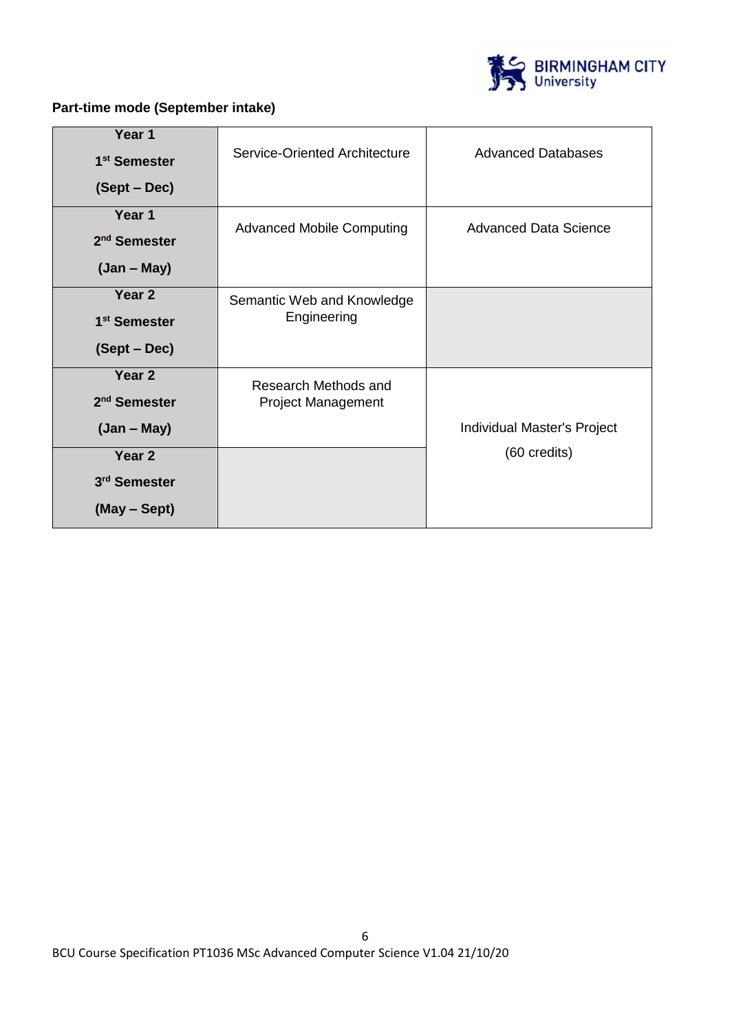

# **Part-time mode (September intake)**

| Year 1                   |                                  |                              |  |
|--------------------------|----------------------------------|------------------------------|--|
| 1 <sup>st</sup> Semester | Service-Oriented Architecture    | <b>Advanced Databases</b>    |  |
| (Sept – Dec)             |                                  |                              |  |
| Year 1                   | <b>Advanced Mobile Computing</b> | <b>Advanced Data Science</b> |  |
| 2 <sup>nd</sup> Semester |                                  |                              |  |
| $(Jan - May)$            |                                  |                              |  |
| Year 2                   | Semantic Web and Knowledge       |                              |  |
| 1 <sup>st</sup> Semester | Engineering                      |                              |  |
| (Sept – Dec)             |                                  |                              |  |
| Year <sub>2</sub>        | Research Methods and             |                              |  |
| 2 <sup>nd</sup> Semester | <b>Project Management</b>        |                              |  |
| $(Jan - May)$            |                                  | Individual Master's Project  |  |
| Year <sub>2</sub>        |                                  | (60 credits)                 |  |
| 3 <sup>rd</sup> Semester |                                  |                              |  |
| (May - Sept)             |                                  |                              |  |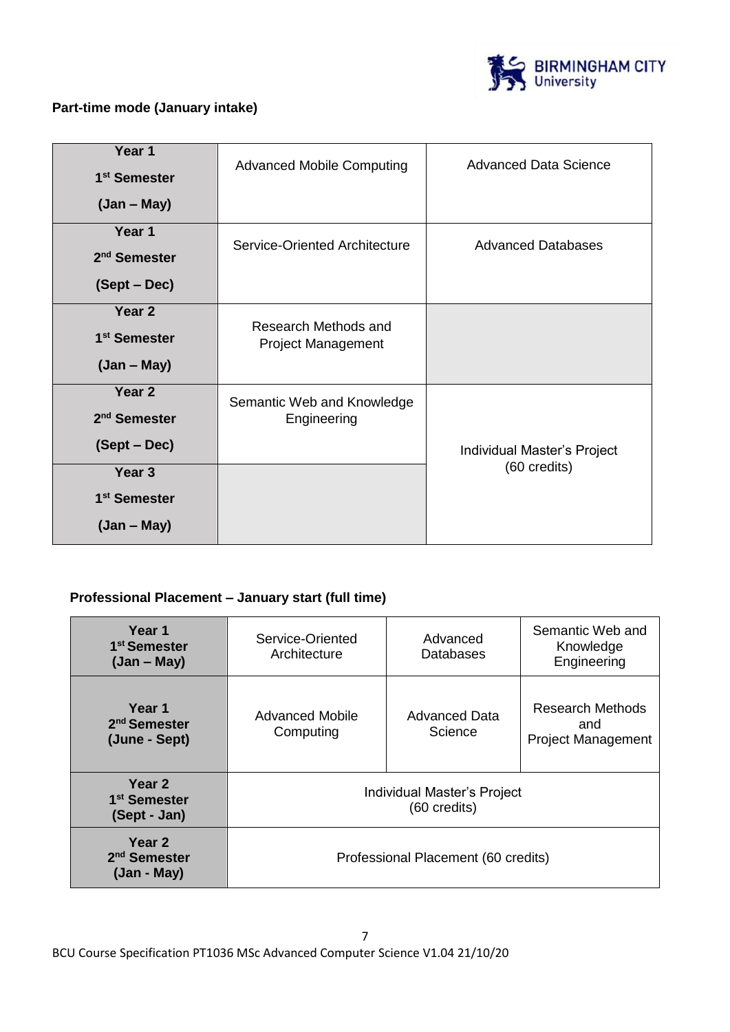

### **Part-time mode (January intake)**

| Year 1                   | <b>Advanced Mobile Computing</b> | Advanced Data Science       |  |
|--------------------------|----------------------------------|-----------------------------|--|
| 1 <sup>st</sup> Semester |                                  |                             |  |
| $(Jan - May)$            |                                  |                             |  |
| Year 1                   | Service-Oriented Architecture    | <b>Advanced Databases</b>   |  |
| 2 <sup>nd</sup> Semester |                                  |                             |  |
| (Sept – Dec)             |                                  |                             |  |
| Year 2                   | Research Methods and             |                             |  |
| 1 <sup>st</sup> Semester | <b>Project Management</b>        |                             |  |
| $(Jan - May)$            |                                  |                             |  |
| Year 2                   | Semantic Web and Knowledge       |                             |  |
| 2 <sup>nd</sup> Semester | Engineering                      |                             |  |
| (Sept – Dec)             |                                  | Individual Master's Project |  |
| Year <sub>3</sub>        |                                  | (60 credits)                |  |
| 1 <sup>st</sup> Semester |                                  |                             |  |
| $(Jan - May)$            |                                  |                             |  |

### **Professional Placement – January start (full time)**

| Year 1<br>1 <sup>st</sup> Semester<br>$(Jan - May)$           | Service-Oriented<br>Architecture            | Advanced<br>Databases    | Semantic Web and<br>Knowledge<br>Engineering                |
|---------------------------------------------------------------|---------------------------------------------|--------------------------|-------------------------------------------------------------|
| Year 1<br>2 <sup>nd</sup> Semester<br>(June - Sept)           | Advanced Mobile<br>Computing                | Advanced Data<br>Science | <b>Research Methods</b><br>and<br><b>Project Management</b> |
| Year <sub>2</sub><br>1 <sup>st</sup> Semester<br>(Sept - Jan) | Individual Master's Project<br>(60 credits) |                          |                                                             |
| Year 2<br>2 <sup>nd</sup> Semester<br>$(Jan - May)$           | Professional Placement (60 credits)         |                          |                                                             |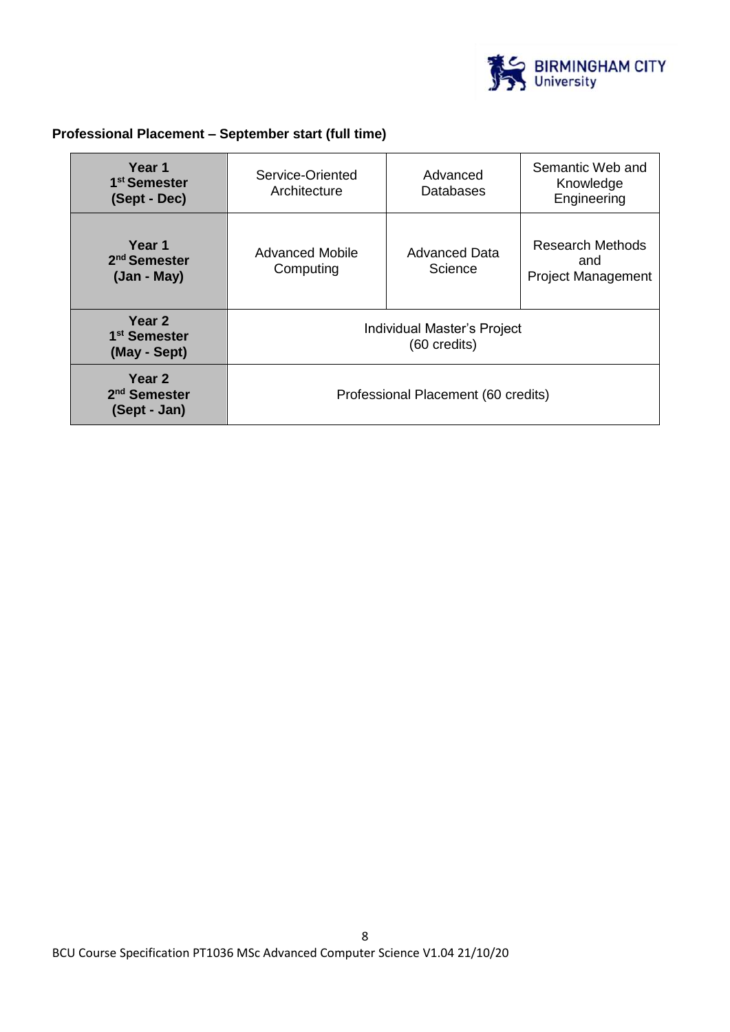

# **Professional Placement – September start (full time)**

| Year 1<br>1 <sup>st</sup> Semester<br>(Sept - Dec)  | Service-Oriented<br>Architecture            | Advanced<br>Databases    | Semantic Web and<br>Knowledge<br>Engineering                |
|-----------------------------------------------------|---------------------------------------------|--------------------------|-------------------------------------------------------------|
| Year 1<br>2 <sup>nd</sup> Semester<br>$(Jan - May)$ | Advanced Mobile<br>Computing                | Advanced Data<br>Science | <b>Research Methods</b><br>and<br><b>Project Management</b> |
| Year 2<br>1 <sup>st</sup> Semester<br>(May - Sept)  | Individual Master's Project<br>(60 credits) |                          |                                                             |
| Year 2<br>2 <sup>nd</sup> Semester<br>(Sept - Jan)  | Professional Placement (60 credits)         |                          |                                                             |